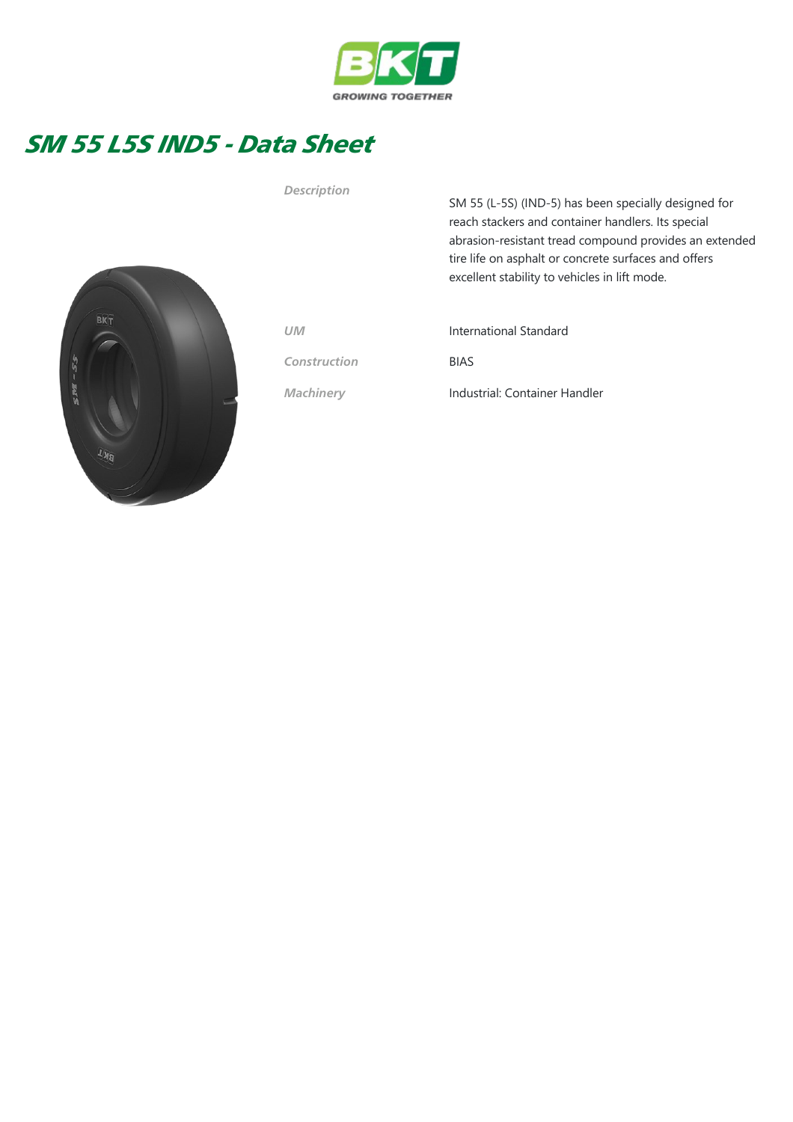

## SM 55 L5S IND5 - Data Sheet



Description

SM 55 (L-5S) (IND-5) has been specially designed for reach stackers and container handlers. Its special abrasion‐resistant tread compound provides an extended tire life on asphalt or concrete surfaces and offers excellent stability to vehicles in lift mode.

Construction BIAS

UM International Standard

Machinery **Industrial: Container Handler**